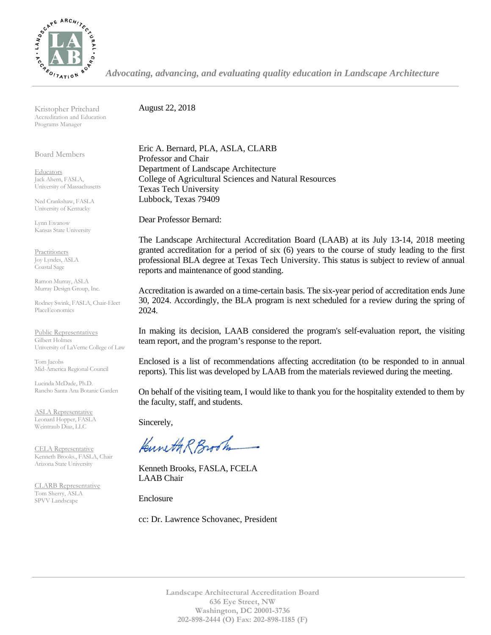

*Advocating, advancing, and evaluating quality education in Landscape Architecture*

Kristopher Pritchard Accreditation and Education Programs Manager

Board Members

**Educators** Jack Ahern, FASLA, University of Massachusetts

Ned Crankshaw, FASLA University of Kentucky

Lynn Ewanow Kansas State University

**Practitioners** Joy Lyndes, ASLA Coastal Sage

Ramon Murray, ASLA Murray Design Group, Inc.

Rodney Swink, FASLA, Chair-Elect PlaceEconomics

Public Representatives Gilbert Holmes University of LaVerne College of Law

Tom Jacobs Mid-America Regional Council

Lucinda McDade, Ph.D. Rancho Santa Ana Botanic Garden

ASLA Representative Leonard Hopper, FASLA Weintraub Diaz, LLC

CELA Representative Kenneth Brooks., FASLA, Chair Arizona State University

CLARB Representative Tom Sherry, ASLA SPVV Landscape

August 22, 2018

Eric A. Bernard, PLA, ASLA, CLARB Professor and Chair Department of Landscape Architecture College of Agricultural Sciences and Natural Resources Texas Tech University Lubbock, Texas 79409

Dear Professor Bernard:

The Landscape Architectural Accreditation Board (LAAB) at its July 13-14, 2018 meeting granted accreditation for a period of six (6) years to the course of study leading to the first professional BLA degree at Texas Tech University. This status is subject to review of annual reports and maintenance of good standing.

Accreditation is awarded on a time-certain basis. The six-year period of accreditation ends June 30, 2024. Accordingly, the BLA program is next scheduled for a review during the spring of 2024.

In making its decision, LAAB considered the program's self-evaluation report, the visiting team report, and the program's response to the report.

Enclosed is a list of recommendations affecting accreditation (to be responded to in annual reports). This list was developed by LAAB from the materials reviewed during the meeting.

On behalf of the visiting team, I would like to thank you for the hospitality extended to them by the faculty, staff, and students.

Sincerely,

Kuneth R Brook

Kenneth Brooks, FASLA, FCELA LAAB Chair

Enclosure

cc: Dr. Lawrence Schovanec, President

**Landscape Architectural Accreditation Board 636 Eye Street, NW Washington, DC 20001-3736 202-898-2444 (O) Fax: 202-898-1185 (F)**